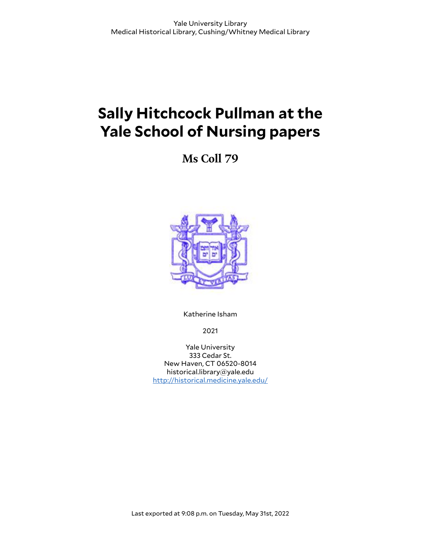# **Sally Hitchcock Pullman at the Yale School of Nursing papers**

**Ms Coll 79**



Katherine Isham

2021

Yale University 333 Cedar St. New Haven, CT 06520-8014 historical.library@yale.edu <http://historical.medicine.yale.edu/>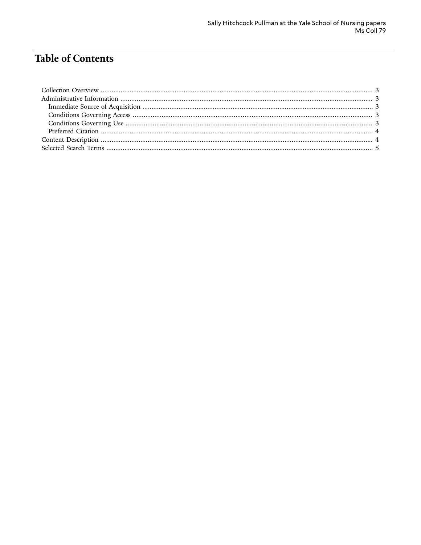# **Table of Contents**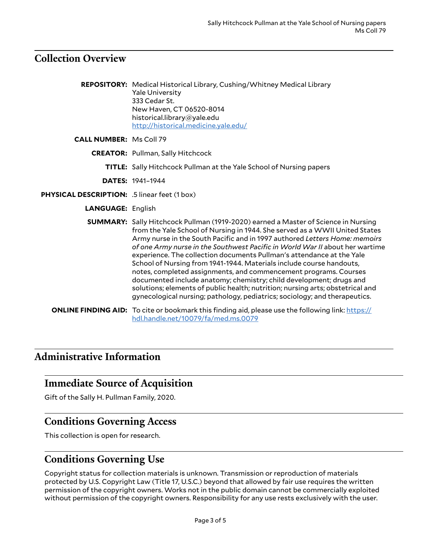#### <span id="page-2-0"></span>**Collection Overview**

|                                              | REPOSITORY: Medical Historical Library, Cushing/Whitney Medical Library<br><b>Yale University</b><br>333 Cedar St.<br>New Haven, CT 06520-8014<br>historical.library@yale.edu<br>http://historical.medicine.yale.edu/                                                                                                                                                                                                                                                                                                                                                                                                                                                                                                                                                                              |
|----------------------------------------------|----------------------------------------------------------------------------------------------------------------------------------------------------------------------------------------------------------------------------------------------------------------------------------------------------------------------------------------------------------------------------------------------------------------------------------------------------------------------------------------------------------------------------------------------------------------------------------------------------------------------------------------------------------------------------------------------------------------------------------------------------------------------------------------------------|
| <b>CALL NUMBER: Ms Coll 79</b>               |                                                                                                                                                                                                                                                                                                                                                                                                                                                                                                                                                                                                                                                                                                                                                                                                    |
|                                              | <b>CREATOR:</b> Pullman, Sally Hitchcock                                                                                                                                                                                                                                                                                                                                                                                                                                                                                                                                                                                                                                                                                                                                                           |
|                                              | <b>TITLE:</b> Sally Hitchcock Pullman at the Yale School of Nursing papers                                                                                                                                                                                                                                                                                                                                                                                                                                                                                                                                                                                                                                                                                                                         |
|                                              | <b>DATES: 1941-1944</b>                                                                                                                                                                                                                                                                                                                                                                                                                                                                                                                                                                                                                                                                                                                                                                            |
| PHYSICAL DESCRIPTION: .5 linear feet (1 box) |                                                                                                                                                                                                                                                                                                                                                                                                                                                                                                                                                                                                                                                                                                                                                                                                    |
| <b>LANGUAGE: English</b>                     |                                                                                                                                                                                                                                                                                                                                                                                                                                                                                                                                                                                                                                                                                                                                                                                                    |
|                                              | <b>SUMMARY:</b> Sally Hitchcock Pullman (1919-2020) earned a Master of Science in Nursing<br>from the Yale School of Nursing in 1944. She served as a WWII United States<br>Army nurse in the South Pacific and in 1997 authored Letters Home: memoirs<br>of one Army nurse in the Southwest Pacific in World War II about her wartime<br>experience. The collection documents Pullman's attendance at the Yale<br>School of Nursing from 1941-1944. Materials include course handouts,<br>notes, completed assignments, and commencement programs. Courses<br>documented include anatomy; chemistry; child development; drugs and<br>solutions; elements of public health; nutrition; nursing arts; obstetrical and<br>gynecological nursing; pathology, pediatrics; sociology; and therapeutics. |

**ONLINE FINDING AID:** To cite or bookmark this finding aid, please use the following link: [https://](https://hdl.handle.net/10079/fa/med.ms.0079) [hdl.handle.net/10079/fa/med.ms.0079](https://hdl.handle.net/10079/fa/med.ms.0079)

## <span id="page-2-1"></span>**Administrative Information**

#### <span id="page-2-2"></span>**Immediate Source of Acquisition**

Gift of the Sally H. Pullman Family, 2020.

#### <span id="page-2-3"></span>**Conditions Governing Access**

This collection is open for research.

#### <span id="page-2-4"></span>**Conditions Governing Use**

Copyright status for collection materials is unknown. Transmission or reproduction of materials protected by U.S. Copyright Law (Title 17, U.S.C.) beyond that allowed by fair use requires the written permission of the copyright owners. Works not in the public domain cannot be commercially exploited without permission of the copyright owners. Responsibility for any use rests exclusively with the user.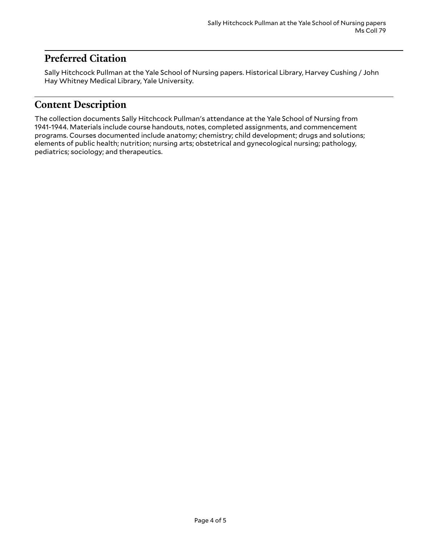## <span id="page-3-0"></span>**Preferred Citation**

Sally Hitchcock Pullman at the Yale School of Nursing papers. Historical Library, Harvey Cushing / John Hay Whitney Medical Library, Yale University.

## <span id="page-3-1"></span>**Content Description**

The collection documents Sally Hitchcock Pullman's attendance at the Yale School of Nursing from 1941-1944. Materials include course handouts, notes, completed assignments, and commencement programs. Courses documented include anatomy; chemistry; child development; drugs and solutions; elements of public health; nutrition; nursing arts; obstetrical and gynecological nursing; pathology, pediatrics; sociology; and therapeutics.